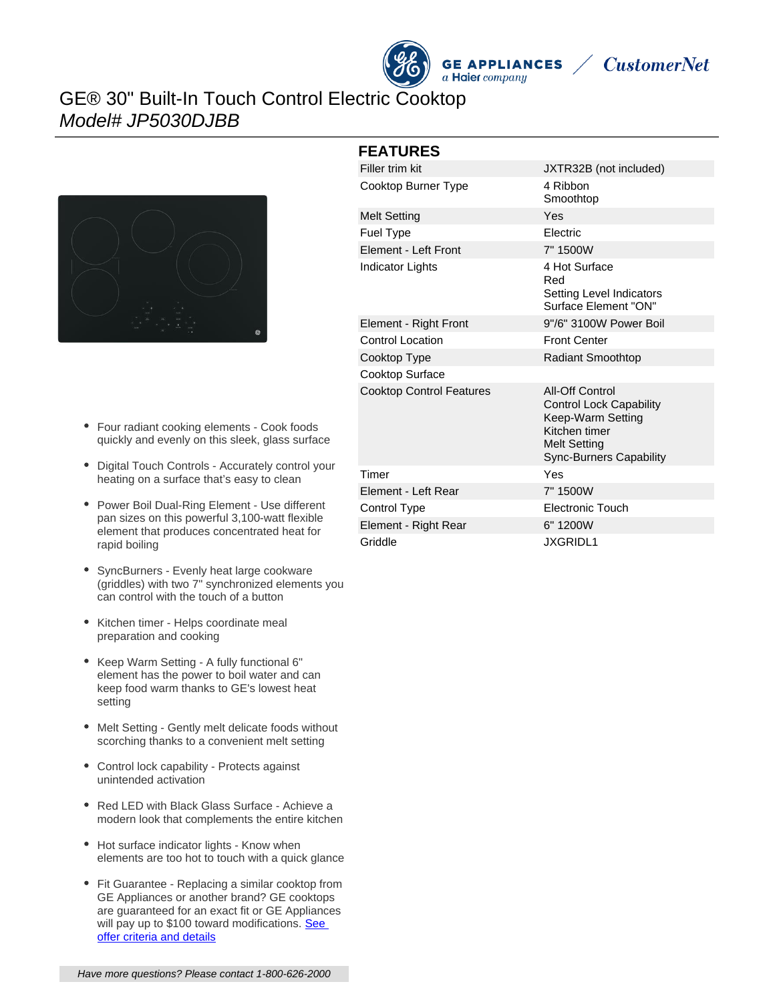## GE® 30" Built-In Touch Control Electric Cooktop Model# JP5030DJBB



- Four radiant cooking elements Cook foods quickly and evenly on this sleek, glass surface
- Digital Touch Controls Accurately control your heating on a surface that's easy to clean
- Power Boil Dual-Ring Element Use different pan sizes on this powerful 3,100-watt flexible element that produces concentrated heat for rapid boiling
- SyncBurners Evenly heat large cookware (griddles) with two 7" synchronized elements you can control with the touch of a button
- Kitchen timer Helps coordinate meal preparation and cooking
- Keep Warm Setting A fully functional 6" element has the power to boil water and can keep food warm thanks to GE's lowest heat setting
- Melt Setting Gently melt delicate foods without scorching thanks to a convenient melt setting
- Control lock capability Protects against unintended activation
- Red LED with Black Glass Surface Achieve a modern look that complements the entire kitchen
- Hot surface indicator lights Know when elements are too hot to touch with a quick glance
- Fit Guarantee Replacing a similar cooktop from GE Appliances or another brand? GE cooktops are guaranteed for an exact fit or GE Appliances will pay up to \$100 toward modifications. See [offer criteria and details](http://www.geappliances.com/ge/cooktops/built_in_cooktop_rebate.pdf)

| <b>FEATURES</b>                 |                                                                                                                                                         |
|---------------------------------|---------------------------------------------------------------------------------------------------------------------------------------------------------|
| Filler trim kit                 | JXTR32B (not included)                                                                                                                                  |
| Cooktop Burner Type             | 4 Ribbon<br>Smoothtop                                                                                                                                   |
| <b>Melt Setting</b>             | Yes                                                                                                                                                     |
| <b>Fuel Type</b>                | Electric                                                                                                                                                |
| Element - Left Front            | 7" 1500W                                                                                                                                                |
| <b>Indicator Lights</b>         | 4 Hot Surface<br>Red<br>Setting Level Indicators<br>Surface Element "ON"                                                                                |
| Element - Right Front           | 9"/6" 3100W Power Boil                                                                                                                                  |
| <b>Control Location</b>         | <b>Front Center</b>                                                                                                                                     |
| Cooktop Type                    | <b>Radiant Smoothtop</b>                                                                                                                                |
| <b>Cooktop Surface</b>          |                                                                                                                                                         |
| <b>Cooktop Control Features</b> | <b>All-Off Control</b><br><b>Control Lock Capability</b><br>Keep-Warm Setting<br>Kitchen timer<br><b>Melt Setting</b><br><b>Sync-Burners Capability</b> |
| Timer                           | Yes                                                                                                                                                     |
| Element - Left Rear             | 7" 1500W                                                                                                                                                |
| Control Type                    | <b>Electronic Touch</b>                                                                                                                                 |
| Element - Right Rear            | 6" 1200W                                                                                                                                                |
| Griddle                         | <b>JXGRIDL1</b>                                                                                                                                         |

**GE APPLIANCES** 

a Haier company

**CustomerNet**